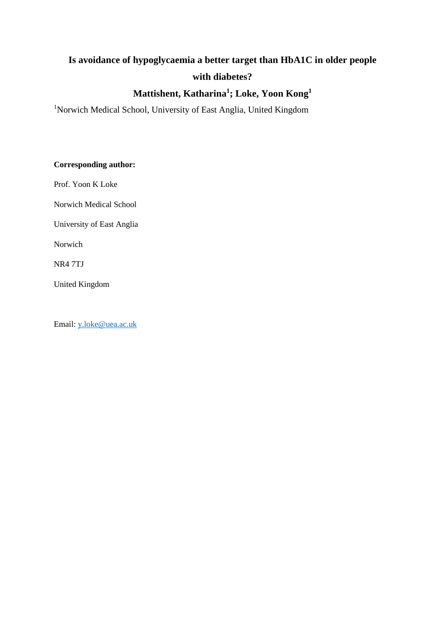# **Is avoidance of hypoglycaemia a better target than HbA1C in older people with diabetes?**

### **Mattishent, Katharina<sup>1</sup> ; Loke, Yoon Kong<sup>1</sup>**

<sup>1</sup>Norwich Medical School, University of East Anglia, United Kingdom

#### **Corresponding author:**

Prof. Yoon K Loke

Norwich Medical School

University of East Anglia

Norwich

NR4 7TJ

United Kingdom

Email: [y.loke@uea.ac.uk](mailto:y.loke@uea.ac.uk)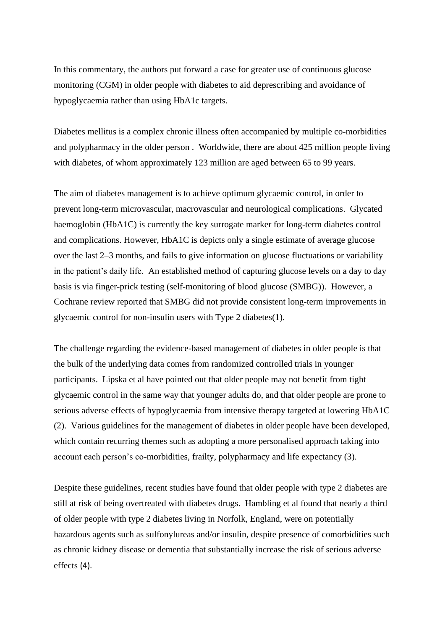In this commentary, the authors put forward a case for greater use of continuous glucose monitoring (CGM) in older people with diabetes to aid deprescribing and avoidance of hypoglycaemia rather than using HbA1c targets.

Diabetes mellitus is a complex chronic illness often accompanied by multiple co-morbidities and polypharmacy in the older person . Worldwide, there are about 425 million people living with diabetes, of whom approximately 123 million are aged between 65 to 99 years.

The aim of diabetes management is to achieve optimum glycaemic control, in order to prevent long-term microvascular, macrovascular and neurological complications. Glycated haemoglobin (HbA1C) is currently the key surrogate marker for long-term diabetes control and complications. However, HbA1C is depicts only a single estimate of average glucose over the last 2–3 months, and fails to give information on glucose fluctuations or variability in the patient's daily life. An established method of capturing glucose levels on a day to day basis is via finger-prick testing (self-monitoring of blood glucose (SMBG)). However, a Cochrane review reported that SMBG did not provide consistent long-term improvements in glycaemic control for non-insulin users with Type 2 diabetes(1).

The challenge regarding the evidence-based management of diabetes in older people is that the bulk of the underlying data comes from randomized controlled trials in younger participants. Lipska et al have pointed out that older people may not benefit from tight glycaemic control in the same way that younger adults do, and that older people are prone to serious adverse effects of hypoglycaemia from intensive therapy targeted at lowering HbA1C (2). Various guidelines for the management of diabetes in older people have been developed, which contain recurring themes such as adopting a more personalised approach taking into account each person's co-morbidities, frailty, polypharmacy and life expectancy (3).

Despite these guidelines, recent studies have found that older people with type 2 diabetes are still at risk of being overtreated with diabetes drugs. Hambling et al found that nearly a third of older people with type 2 diabetes living in Norfolk, England, were on potentially hazardous agents such as sulfonylureas and/or insulin, despite presence of comorbidities such as chronic kidney disease or dementia that substantially increase the risk of serious adverse effects (4).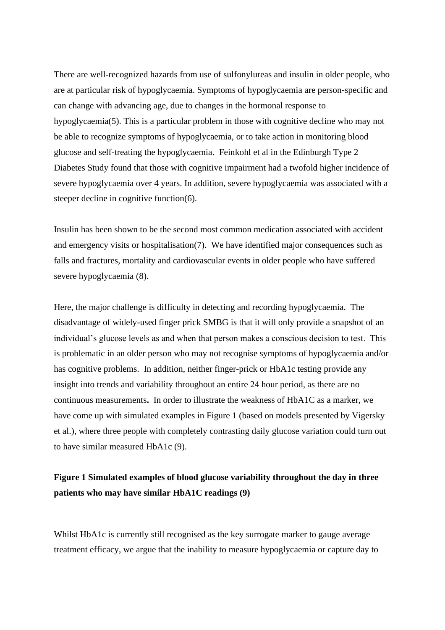There are well-recognized hazards from use of sulfonylureas and insulin in older people, who are at particular risk of hypoglycaemia. Symptoms of hypoglycaemia are person-specific and can change with advancing age, due to changes in the hormonal response to hypoglycaemia(5). This is a particular problem in those with cognitive decline who may not be able to recognize symptoms of hypoglycaemia, or to take action in monitoring blood glucose and self-treating the hypoglycaemia. Feinkohl et al in the Edinburgh Type 2 Diabetes Study found that those with cognitive impairment had a twofold higher incidence of severe hypoglycaemia over 4 years. In addition, severe hypoglycaemia was associated with a steeper decline in cognitive function(6).

Insulin has been shown to be the second most common medication associated with accident and emergency visits or hospitalisation(7). We have identified major consequences such as falls and fractures, mortality and cardiovascular events in older people who have suffered severe hypoglycaemia (8).

Here, the major challenge is difficulty in detecting and recording hypoglycaemia. The disadvantage of widely-used finger prick SMBG is that it will only provide a snapshot of an individual's glucose levels as and when that person makes a conscious decision to test. This is problematic in an older person who may not recognise symptoms of hypoglycaemia and/or has cognitive problems. In addition, neither finger-prick or HbA1c testing provide any insight into trends and variability throughout an entire 24 hour period, as there are no continuous measurements**.** In order to illustrate the weakness of HbA1C as a marker, we have come up with simulated examples in Figure 1 (based on models presented by Vigersky et al.), where three people with completely contrasting daily glucose variation could turn out to have similar measured HbA1c (9).

## **Figure 1 Simulated examples of blood glucose variability throughout the day in three patients who may have similar HbA1C readings (9)**

Whilst HbA1c is currently still recognised as the key surrogate marker to gauge average treatment efficacy, we argue that the inability to measure hypoglycaemia or capture day to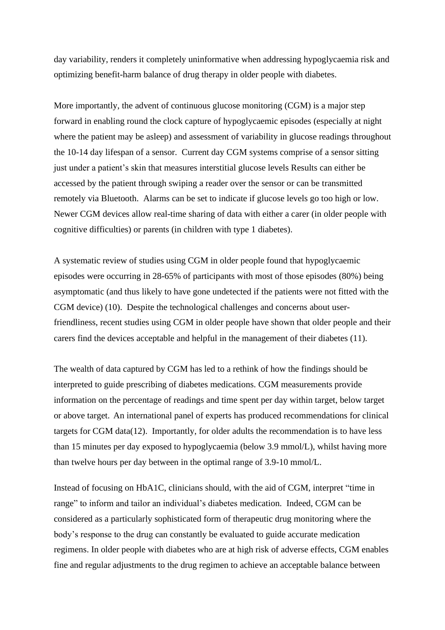day variability, renders it completely uninformative when addressing hypoglycaemia risk and optimizing benefit-harm balance of drug therapy in older people with diabetes.

More importantly, the advent of continuous glucose monitoring (CGM) is a major step forward in enabling round the clock capture of hypoglycaemic episodes (especially at night where the patient may be asleep) and assessment of variability in glucose readings throughout the 10-14 day lifespan of a sensor. Current day CGM systems comprise of a sensor sitting just under a patient's skin that measures interstitial glucose levels Results can either be accessed by the patient through swiping a reader over the sensor or can be transmitted remotely via Bluetooth. Alarms can be set to indicate if glucose levels go too high or low. Newer CGM devices allow real-time sharing of data with either a carer (in older people with cognitive difficulties) or parents (in children with type 1 diabetes).

A systematic review of studies using CGM in older people found that hypoglycaemic episodes were occurring in 28-65% of participants with most of those episodes (80%) being asymptomatic (and thus likely to have gone undetected if the patients were not fitted with the CGM device) (10). Despite the technological challenges and concerns about userfriendliness, recent studies using CGM in older people have shown that older people and their carers find the devices acceptable and helpful in the management of their diabetes (11).

The wealth of data captured by CGM has led to a rethink of how the findings should be interpreted to guide prescribing of diabetes medications. CGM measurements provide information on the percentage of readings and time spent per day within target, below target or above target. An international panel of experts has produced recommendations for clinical targets for CGM data(12). Importantly, for older adults the recommendation is to have less than 15 minutes per day exposed to hypoglycaemia (below 3.9 mmol/L), whilst having more than twelve hours per day between in the optimal range of 3.9-10 mmol/L.

Instead of focusing on HbA1C, clinicians should, with the aid of CGM, interpret "time in range" to inform and tailor an individual's diabetes medication. Indeed, CGM can be considered as a particularly sophisticated form of therapeutic drug monitoring where the body's response to the drug can constantly be evaluated to guide accurate medication regimens. In older people with diabetes who are at high risk of adverse effects, CGM enables fine and regular adjustments to the drug regimen to achieve an acceptable balance between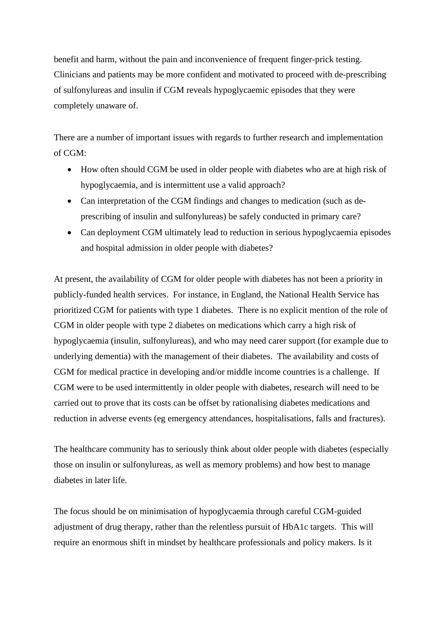benefit and harm, without the pain and inconvenience of frequent finger-prick testing. Clinicians and patients may be more confident and motivated to proceed with de-prescribing of sulfonylureas and insulin if CGM reveals hypoglycaemic episodes that they were completely unaware of.

There are a number of important issues with regards to further research and implementation of CGM:

- How often should CGM be used in older people with diabetes who are at high risk of hypoglycaemia, and is intermittent use a valid approach?
- Can interpretation of the CGM findings and changes to medication (such as deprescribing of insulin and sulfonylureas) be safely conducted in primary care?
- Can deployment CGM ultimately lead to reduction in serious hypoglycaemia episodes and hospital admission in older people with diabetes?

At present, the availability of CGM for older people with diabetes has not been a priority in publicly-funded health services. For instance, in England, the National Health Service has prioritized CGM for patients with type 1 diabetes. There is no explicit mention of the role of CGM in older people with type 2 diabetes on medications which carry a high risk of hypoglycaemia (insulin, sulfonylureas), and who may need carer support (for example due to underlying dementia) with the management of their diabetes. The availability and costs of CGM for medical practice in developing and/or middle income countries is a challenge. If CGM were to be used intermittently in older people with diabetes, research will need to be carried out to prove that its costs can be offset by rationalising diabetes medications and reduction in adverse events (eg emergency attendances, hospitalisations, falls and fractures).

The healthcare community has to seriously think about older people with diabetes (especially those on insulin or sulfonylureas, as well as memory problems) and how best to manage diabetes in later life.

The focus should be on minimisation of hypoglycaemia through careful CGM-guided adjustment of drug therapy, rather than the relentless pursuit of HbA1c targets. This will require an enormous shift in mindset by healthcare professionals and policy makers. Is it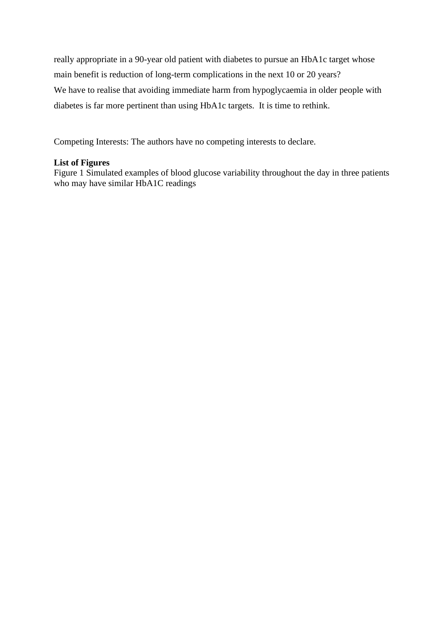really appropriate in a 90-year old patient with diabetes to pursue an HbA1c target whose main benefit is reduction of long-term complications in the next 10 or 20 years? We have to realise that avoiding immediate harm from hypoglycaemia in older people with diabetes is far more pertinent than using HbA1c targets. It is time to rethink.

Competing Interests: The authors have no competing interests to declare.

#### **List of Figures**

Figure 1 Simulated examples of blood glucose variability throughout the day in three patients who may have similar HbA1C readings